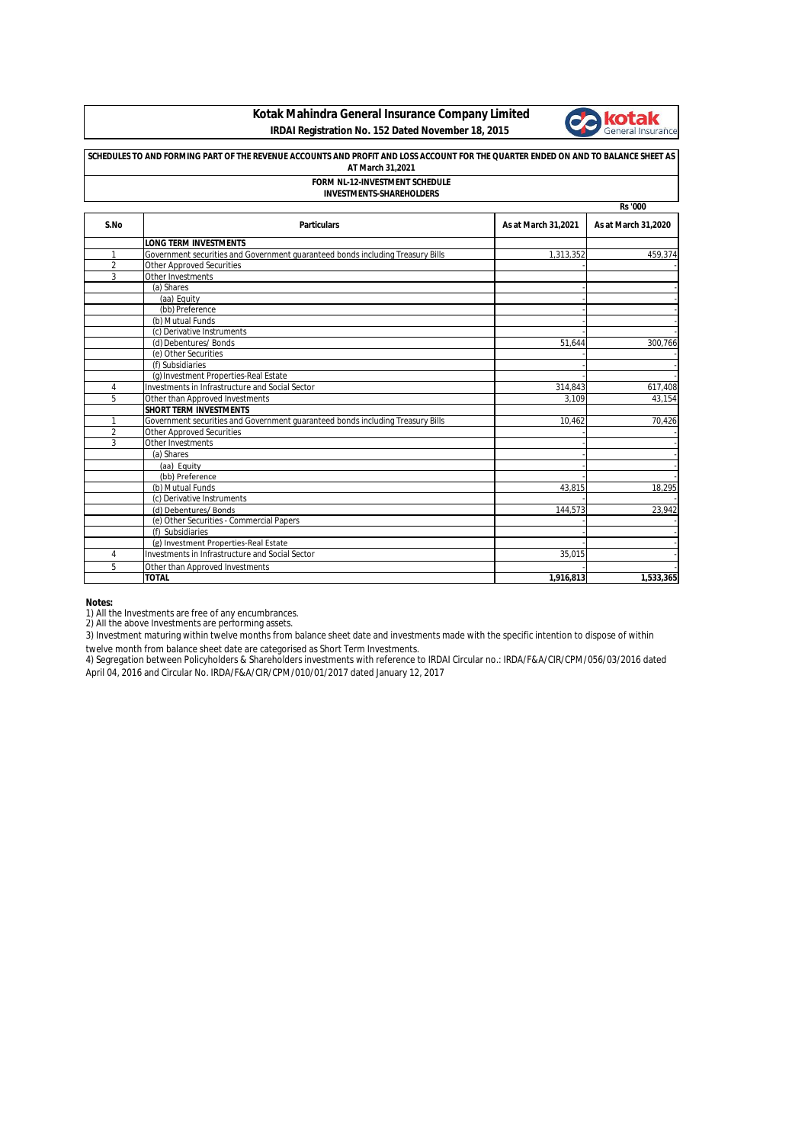**Kotak Mahindra General Insurance Company Limited IRDAI Registration No. 152 Dated November 18, 2015**



| SCHEDULES TO AND FORMING PART OF THE REVENUE ACCOUNTS AND PROFIT AND LOSS ACCOUNT FOR THE QUARTER ENDED ON AND TO BALANCE SHEET AS<br>AT March 31,2021<br>FORM NL-12-INVESTMENT SCHEDULE<br><b>INVESTMENTS-SHAREHOLDERS</b> |                                                                                |           |           |  |      |                    |                     |                     |  |
|-----------------------------------------------------------------------------------------------------------------------------------------------------------------------------------------------------------------------------|--------------------------------------------------------------------------------|-----------|-----------|--|------|--------------------|---------------------|---------------------|--|
|                                                                                                                                                                                                                             |                                                                                |           |           |  |      |                    | <b>Rs</b> '000      |                     |  |
|                                                                                                                                                                                                                             |                                                                                |           |           |  | S.No | <b>Particulars</b> | As at March 31,2021 | As at March 31,2020 |  |
|                                                                                                                                                                                                                             | <b>LONG TERM INVESTMENTS</b>                                                   |           |           |  |      |                    |                     |                     |  |
| 1                                                                                                                                                                                                                           | Government securities and Government guaranteed bonds including Treasury Bills | 1,313,352 | 459,374   |  |      |                    |                     |                     |  |
| $\overline{2}$                                                                                                                                                                                                              | <b>Other Approved Securities</b>                                               |           |           |  |      |                    |                     |                     |  |
| 3                                                                                                                                                                                                                           | Other Investments                                                              |           |           |  |      |                    |                     |                     |  |
|                                                                                                                                                                                                                             | (a) Shares                                                                     |           |           |  |      |                    |                     |                     |  |
|                                                                                                                                                                                                                             | (aa) Equity                                                                    |           |           |  |      |                    |                     |                     |  |
|                                                                                                                                                                                                                             | (bb) Preference                                                                |           |           |  |      |                    |                     |                     |  |
|                                                                                                                                                                                                                             | (b) Mutual Funds                                                               |           |           |  |      |                    |                     |                     |  |
|                                                                                                                                                                                                                             | (c) Derivative Instruments                                                     |           |           |  |      |                    |                     |                     |  |
|                                                                                                                                                                                                                             | (d) Debentures/ Bonds                                                          | 51,644    | 300,766   |  |      |                    |                     |                     |  |
|                                                                                                                                                                                                                             | (e) Other Securities                                                           |           |           |  |      |                    |                     |                     |  |
|                                                                                                                                                                                                                             | (f) Subsidiaries                                                               |           |           |  |      |                    |                     |                     |  |
|                                                                                                                                                                                                                             | (g) Investment Properties-Real Estate                                          |           |           |  |      |                    |                     |                     |  |
| 4                                                                                                                                                                                                                           | Investments in Infrastructure and Social Sector                                | 314,843   | 617,408   |  |      |                    |                     |                     |  |
| 5                                                                                                                                                                                                                           | Other than Approved Investments                                                | 3.109     | 43.154    |  |      |                    |                     |                     |  |
|                                                                                                                                                                                                                             | <b>SHORT TERM INVESTMENTS</b>                                                  |           |           |  |      |                    |                     |                     |  |
| $\mathbf{1}$                                                                                                                                                                                                                | Government securities and Government quaranteed bonds including Treasury Bills | 10.462    | 70,426    |  |      |                    |                     |                     |  |
| $\overline{2}$                                                                                                                                                                                                              | <b>Other Approved Securities</b>                                               |           |           |  |      |                    |                     |                     |  |
| 3                                                                                                                                                                                                                           | Other Investments                                                              |           |           |  |      |                    |                     |                     |  |
|                                                                                                                                                                                                                             | (a) Shares                                                                     |           |           |  |      |                    |                     |                     |  |
|                                                                                                                                                                                                                             | (aa) Equity                                                                    |           |           |  |      |                    |                     |                     |  |
|                                                                                                                                                                                                                             | (bb) Preference                                                                |           |           |  |      |                    |                     |                     |  |
|                                                                                                                                                                                                                             | (b) Mutual Funds                                                               | 43.815    | 18,295    |  |      |                    |                     |                     |  |
|                                                                                                                                                                                                                             | (c) Derivative Instruments                                                     |           |           |  |      |                    |                     |                     |  |
|                                                                                                                                                                                                                             | (d) Debentures/ Bonds                                                          | 144,573   | 23,942    |  |      |                    |                     |                     |  |
|                                                                                                                                                                                                                             | (e) Other Securities - Commercial Papers                                       |           |           |  |      |                    |                     |                     |  |
|                                                                                                                                                                                                                             | (f) Subsidiaries                                                               |           |           |  |      |                    |                     |                     |  |
|                                                                                                                                                                                                                             | (g) Investment Properties-Real Estate                                          |           |           |  |      |                    |                     |                     |  |
| 4                                                                                                                                                                                                                           | Investments in Infrastructure and Social Sector                                | 35.015    |           |  |      |                    |                     |                     |  |
| 5                                                                                                                                                                                                                           | Other than Approved Investments                                                |           |           |  |      |                    |                     |                     |  |
|                                                                                                                                                                                                                             | <b>TOTAL</b>                                                                   | 1,916,813 | 1,533,365 |  |      |                    |                     |                     |  |

**Notes:**

1) All the Investments are free of any encumbrances.<br>2) All the above Investments are performing assets.

3) Investment maturing within twelve months from balance sheet date and investments made with the specific intention to dispose of within twelve month from balance sheet date are categorised as Short Term Investments.

4) Segregation between Policyholders & Shareholders investments with reference to IRDAI Circular no.: IRDA/F&A/CIR/CPM/056/03/2016 dated April 04, 2016 and Circular No. IRDA/F&A/CIR/CPM/010/01/2017 dated January 12, 2017